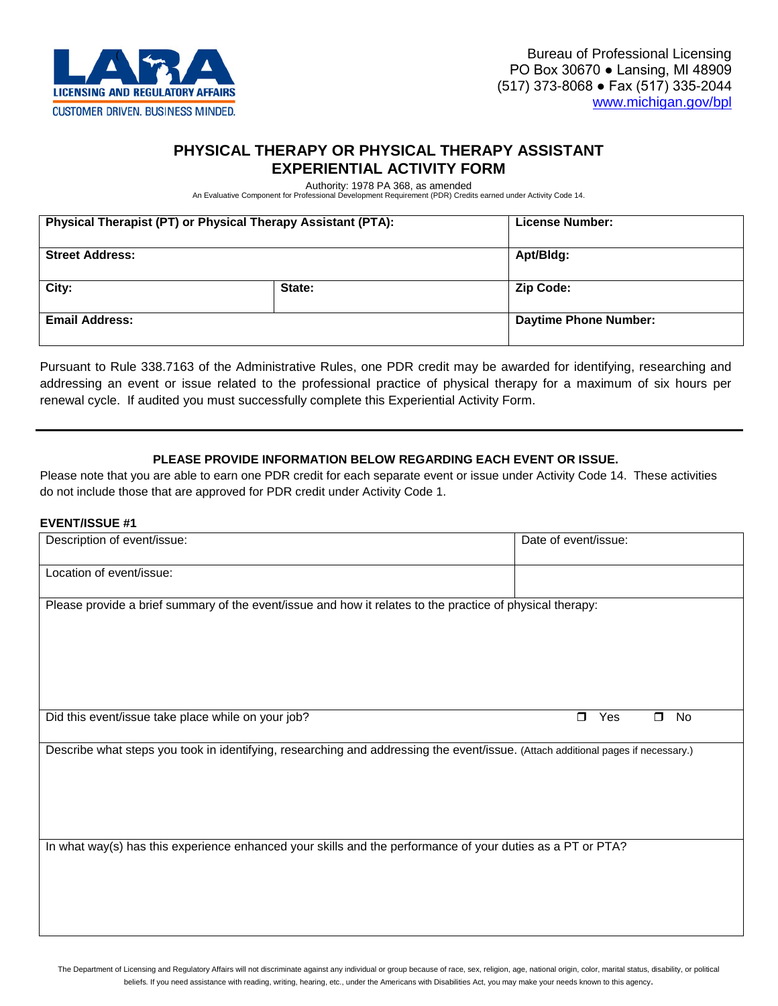

## **PHYSICAL THERAPY OR PHYSICAL THERAPY ASSISTANT EXPERIENTIAL ACTIVITY FORM**

Authority: 1978 PA 368, as amended An Evaluative Component for Professional Development Requirement (PDR) Credits earned under Activity Code 14.

| Physical Therapist (PT) or Physical Therapy Assistant (PTA): |        | License Number:              |
|--------------------------------------------------------------|--------|------------------------------|
| <b>Street Address:</b>                                       |        | Apt/Bldg:                    |
| City:                                                        | State: | <b>Zip Code:</b>             |
| <b>Email Address:</b>                                        |        | <b>Daytime Phone Number:</b> |

Pursuant to Rule 338.7163 of the Administrative Rules, one PDR credit may be awarded for identifying, researching and addressing an event or issue related to the professional practice of physical therapy for a maximum of six hours per renewal cycle. If audited you must successfully complete this Experiential Activity Form.

## **PLEASE PROVIDE INFORMATION BELOW REGARDING EACH EVENT OR ISSUE.**

Please note that you are able to earn one PDR credit for each separate event or issue under Activity Code 14. These activities do not include those that are approved for PDR credit under Activity Code 1.

#### **EVENT/ISSUE #1**

| Description of event/issue:                                                                                                                                                                                                                    | Date of event/issue:          |
|------------------------------------------------------------------------------------------------------------------------------------------------------------------------------------------------------------------------------------------------|-------------------------------|
| Location of event/issue:                                                                                                                                                                                                                       |                               |
| Please provide a brief summary of the event/issue and how it relates to the practice of physical therapy:                                                                                                                                      |                               |
|                                                                                                                                                                                                                                                |                               |
| Did this event/issue take place while on your job?                                                                                                                                                                                             | Yes<br>No<br>$\Box$<br>$\Box$ |
|                                                                                                                                                                                                                                                |                               |
| Describe what steps you took in identifying, researching and addressing the event/issue. (Attach additional pages if necessary.)<br>In what way(s) has this experience enhanced your skills and the performance of your duties as a PT or PTA? |                               |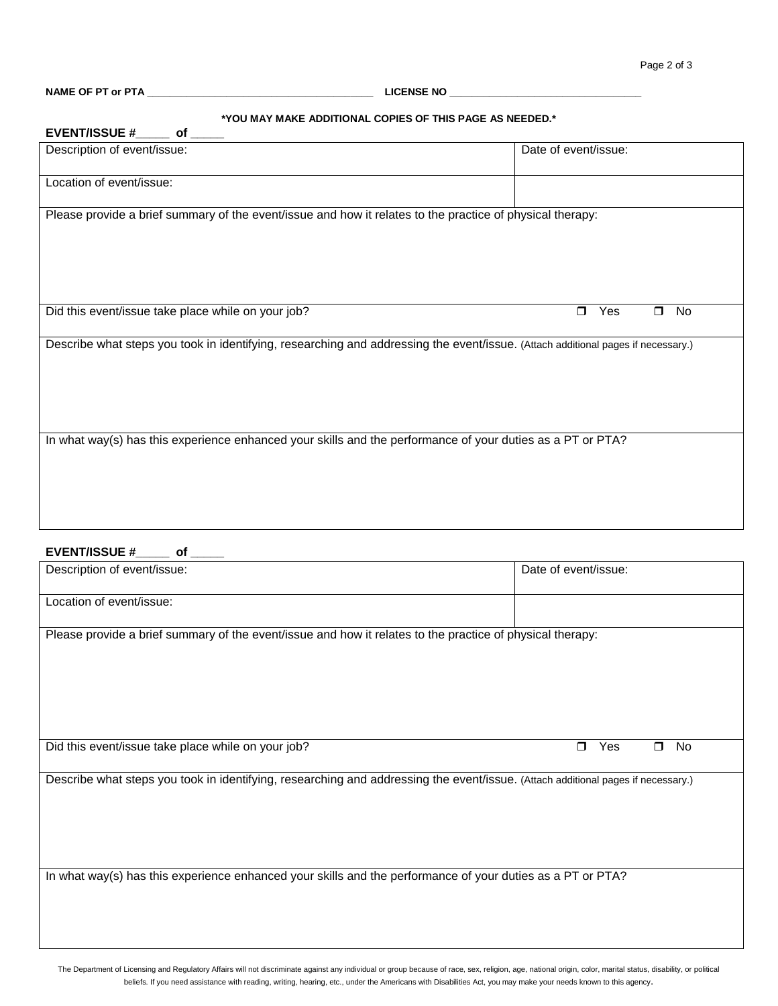## **\*YOU MAY MAKE ADDITIONAL COPIES OF THIS PAGE AS NEEDED.\***

| TOO MAT MANE ADDITIONAL COPIES OF THIS PAGE AS NEEDED.                                                                           |                      |  |
|----------------------------------------------------------------------------------------------------------------------------------|----------------------|--|
| EVENT/ISSUE #______ of _                                                                                                         |                      |  |
| Description of event/issue:                                                                                                      | Date of event/issue: |  |
|                                                                                                                                  |                      |  |
| Location of event/issue:                                                                                                         |                      |  |
|                                                                                                                                  |                      |  |
| Please provide a brief summary of the event/issue and how it relates to the practice of physical therapy:                        |                      |  |
|                                                                                                                                  |                      |  |
|                                                                                                                                  |                      |  |
|                                                                                                                                  |                      |  |
|                                                                                                                                  |                      |  |
|                                                                                                                                  | $\Box$<br>$\Box$     |  |
| Did this event/issue take place while on your job?                                                                               | Yes<br>No            |  |
| Describe what steps you took in identifying, researching and addressing the event/issue. (Attach additional pages if necessary.) |                      |  |
|                                                                                                                                  |                      |  |
|                                                                                                                                  |                      |  |
|                                                                                                                                  |                      |  |
|                                                                                                                                  |                      |  |
|                                                                                                                                  |                      |  |
| In what way(s) has this experience enhanced your skills and the performance of your duties as a PT or PTA?                       |                      |  |
|                                                                                                                                  |                      |  |
|                                                                                                                                  |                      |  |
|                                                                                                                                  |                      |  |
|                                                                                                                                  |                      |  |
|                                                                                                                                  |                      |  |

#### **EVENT/ISSUE #\_\_\_\_\_ of \_\_\_\_\_**

| Description of event/issue:                                                                                                      | Date of event/issue:          |
|----------------------------------------------------------------------------------------------------------------------------------|-------------------------------|
| Location of event/issue:                                                                                                         |                               |
| Please provide a brief summary of the event/issue and how it relates to the practice of physical therapy:                        |                               |
| Did this event/issue take place while on your job?                                                                               | Yes<br>No<br>$\Box$<br>$\Box$ |
| Describe what steps you took in identifying, researching and addressing the event/issue. (Attach additional pages if necessary.) |                               |
| In what way(s) has this experience enhanced your skills and the performance of your duties as a PT or PTA?                       |                               |

The Department of Licensing and Regulatory Affairs will not discriminate against any individual or group because of race, sex, religion, age, national origin, color, marital status, disability, or political beliefs. If you need assistance with reading, writing, hearing, etc., under the Americans with Disabilities Act, you may make your needs known to this agency.